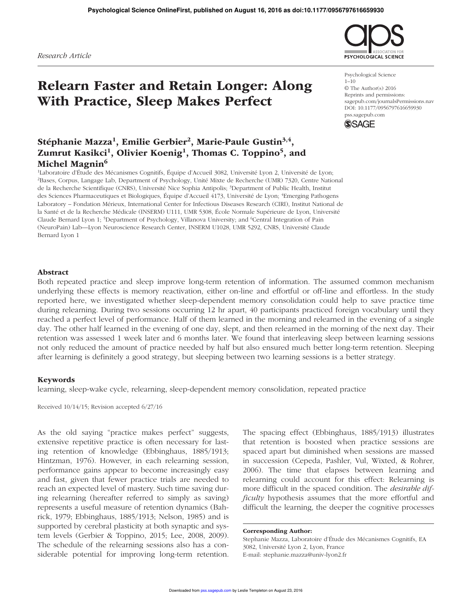*Research Article*

# Relearn Faster and Retain Longer: Along With Practice, Sleep Makes Perfect

# Stéphanie Mazza<sup>1</sup>, Emilie Gerbier<sup>2</sup>, Marie-Paule Gustin<sup>3,4</sup>, Zumrut Kasikci<sup>1</sup>, Olivier Koenig<sup>1</sup>, Thomas C. Toppino<sup>5</sup>, and Michel Magnin<sup>6</sup>

<sup>1</sup>Laboratoire d'Étude des Mécanismes Cognitifs, Équipe d'Accueil 3082, Université Lyon 2, Université de Lyon; <sup>2</sup>Bases, Corpus, Langage Lab, Department of Psychology, Unité Mixte de Recherche (UMR) 7320, Centre National de la Recherche Scientifique (CNRS), Université Nice Sophia Antipolis; <sup>3</sup>Department of Public Health, Institut des Sciences Pharmaceutiques et Biologiques, Équipe d'Accueil 4173, Université de Lyon; <sup>4</sup>Emerging Pathogens Laboratory – Fondation Mérieux, International Center for Infectious Diseases Research (CIRI), Institut National de la Santé et de la Recherche Médicale (INSERM) U111, UMR 5308, École Normale Supérieure de Lyon, Université Claude Bernard Lyon 1; <sup>5</sup>Department of Psychology, Villanova University; and <sup>6</sup>Central Integration of Pain (NeuroPain) Lab—Lyon Neuroscience Research Center, INSERM U1028, UMR 5292, CNRS, Université Claude Bernard Lyon 1

# **PSYCHOLOGICAL SCIENCE**

Psychological Science  $1 - 10$ © The Author(s) 2016 Reprints and permissions: sagepub.com/journalsPermissions.nav DOI: 10.1177/0956797616659930 pss.sagepub.com



#### Abstract

Both repeated practice and sleep improve long-term retention of information. The assumed common mechanism underlying these effects is memory reactivation, either on-line and effortful or off-line and effortless. In the study reported here, we investigated whether sleep-dependent memory consolidation could help to save practice time during relearning. During two sessions occurring 12 hr apart, 40 participants practiced foreign vocabulary until they reached a perfect level of performance. Half of them learned in the morning and relearned in the evening of a single day. The other half learned in the evening of one day, slept, and then relearned in the morning of the next day. Their retention was assessed 1 week later and 6 months later. We found that interleaving sleep between learning sessions not only reduced the amount of practice needed by half but also ensured much better long-term retention. Sleeping after learning is definitely a good strategy, but sleeping between two learning sessions is a better strategy.

#### Keywords

learning, sleep-wake cycle, relearning, sleep-dependent memory consolidation, repeated practice

Received 10/14/15; Revision accepted 6/27/16

As the old saying "practice makes perfect" suggests, extensive repetitive practice is often necessary for lasting retention of knowledge (Ebbinghaus, 1885/1913; Hintzman, 1976). However, in each relearning session, performance gains appear to become increasingly easy and fast, given that fewer practice trials are needed to reach an expected level of mastery. Such time saving during relearning (hereafter referred to simply as saving) represents a useful measure of retention dynamics (Bahrick, 1979; Ebbinghaus, 1885/1913; Nelson, 1985) and is supported by cerebral plasticity at both synaptic and system levels (Gerbier & Toppino, 2015; Lee, 2008, 2009). The schedule of the relearning sessions also has a considerable potential for improving long-term retention.

The spacing effect (Ebbinghaus, 1885/1913) illustrates that retention is boosted when practice sessions are spaced apart but diminished when sessions are massed in succession (Cepeda, Pashler, Vul, Wixted, & Rohrer, 2006). The time that elapses between learning and relearning could account for this effect: Relearning is more difficult in the spaced condition. The *desirable difficulty* hypothesis assumes that the more effortful and difficult the learning, the deeper the cognitive processes

#### Corresponding Author:

Stephanie Mazza, Laboratoire d'Étude des Mécanismes Cognitifs, EA 3082, Université Lyon 2, Lyon, France E-mail: stephanie.mazza@univ-lyon2.fr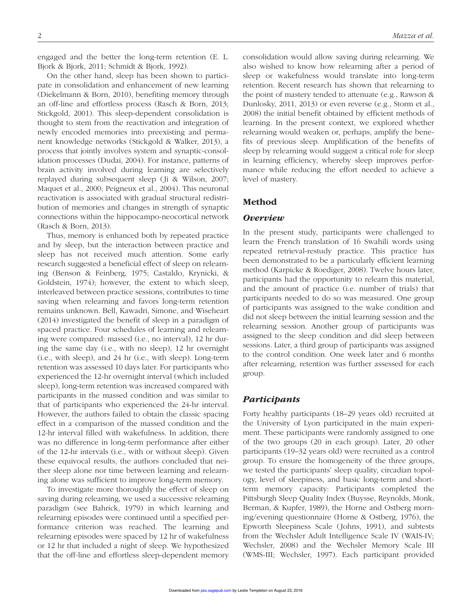engaged and the better the long-term retention (E. L. Bjork & Bjork, 2011; Schmidt & Bjork, 1992).

On the other hand, sleep has been shown to participate in consolidation and enhancement of new learning (Diekelmann & Born, 2010), benefiting memory through an off-line and effortless process (Rasch & Born, 2013; Stickgold, 2001). This sleep-dependent consolidation is thought to stem from the reactivation and integration of newly encoded memories into preexisting and permanent knowledge networks (Stickgold & Walker, 2013), a process that jointly involves system and synaptic-consolidation processes (Dudai, 2004). For instance, patterns of brain activity involved during learning are selectively replayed during subsequent sleep (Ji & Wilson, 2007; Maquet et al., 2000; Peigneux et al., 2004). This neuronal reactivation is associated with gradual structural redistribution of memories and changes in strength of synaptic connections within the hippocampo-neocortical network (Rasch & Born, 2013).

Thus, memory is enhanced both by repeated practice and by sleep, but the interaction between practice and sleep has not received much attention. Some early research suggested a beneficial effect of sleep on relearning (Benson & Feinberg, 1975; Castaldo, Krynicki, & Goldstein, 1974); however, the extent to which sleep, interleaved between practice sessions, contributes to time saving when relearning and favors long-term retention remains unknown. Bell, Kawadri, Simone, and Wiseheart (2014) investigated the benefit of sleep in a paradigm of spaced practice. Four schedules of learning and relearning were compared: massed (i.e., no interval), 12 hr during the same day (i.e., with no sleep), 12 hr overnight (i.e., with sleep), and 24 hr (i.e., with sleep). Long-term retention was assessed 10 days later. For participants who experienced the 12-hr overnight interval (which included sleep), long-term retention was increased compared with participants in the massed condition and was similar to that of participants who experienced the 24-hr interval. However, the authors failed to obtain the classic spacing effect in a comparison of the massed condition and the 12-hr interval filled with wakefulness. In addition, there was no difference in long-term performance after either of the 12-hr intervals (i.e., with or without sleep). Given these equivocal results, the authors concluded that neither sleep alone nor time between learning and relearning alone was sufficient to improve long-term memory.

To investigate more thoroughly the effect of sleep on saving during relearning, we used a successive relearning paradigm (see Bahrick, 1979) in which learning and relearning episodes were continued until a specified performance criterion was reached. The learning and relearning episodes were spaced by 12 hr of wakefulness or 12 hr that included a night of sleep. We hypothesized that the off-line and effortless sleep-dependent memory consolidation would allow saving during relearning. We also wished to know how relearning after a period of sleep or wakefulness would translate into long-term retention. Recent research has shown that relearning to the point of mastery tended to attenuate (e.g., Rawson & Dunlosky, 2011, 2013) or even reverse (e.g., Storm et al., 2008) the initial benefit obtained by efficient methods of learning. In the present context, we explored whether relearning would weaken or, perhaps, amplify the benefits of previous sleep. Amplification of the benefits of sleep by relearning would suggest a critical role for sleep in learning efficiency, whereby sleep improves performance while reducing the effort needed to achieve a level of mastery.

# Method

#### **Overview**

In the present study, participants were challenged to learn the French translation of 16 Swahili words using repeated retrieval-restudy practice. This practice has been demonstrated to be a particularly efficient learning method (Karpicke & Roediger, 2008). Twelve hours later, participants had the opportunity to relearn this material, and the amount of practice (i.e. number of trials) that participants needed to do so was measured. One group of participants was assigned to the wake condition and did not sleep between the initial learning session and the relearning session. Another group of participants was assigned to the sleep condition and did sleep between sessions. Later, a third group of participants was assigned to the control condition. One week later and 6 months after relearning, retention was further assessed for each group.

## **Participants**

Forty healthy participants (18–29 years old) recruited at the University of Lyon participated in the main experiment. These participants were randomly assigned to one of the two groups (20 in each group). Later, 20 other participants (19–32 years old) were recruited as a control group. To ensure the homogeneity of the three groups, we tested the participants' sleep quality, circadian topology, level of sleepiness, and basic long-term and shortterm memory capacity: Participants completed the Pittsburgh Sleep Quality Index (Buysse, Reynolds, Monk, Berman, & Kupfer, 1989), the Horne and Ostberg morning/evening questionnaire (Horne & Ostberg, 1976), the Epworth Sleepiness Scale (Johns, 1991), and subtests from the Wechsler Adult Intelligence Scale IV (WAIS-IV; Wechsler, 2008) and the Wechsler Memory Scale III (WMS-III; Wechsler, 1997). Each participant provided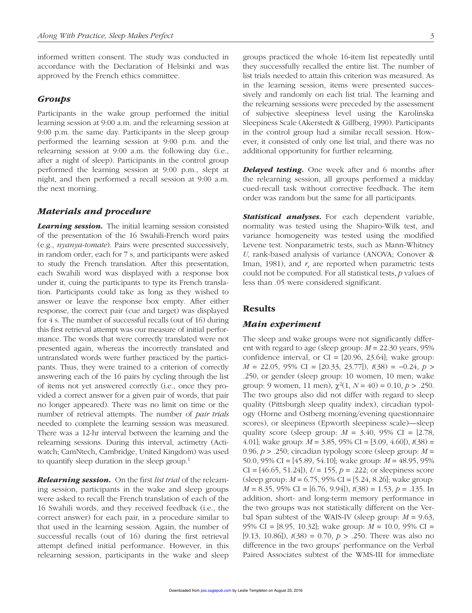informed written consent. The study was conducted in accordance with the Declaration of Helsinki and was approved by the French ethics committee.

# **Groups**

Participants in the wake group performed the initial learning session at 9:00 a.m. and the relearning session at 9:00 p.m. the same day. Participants in the sleep group performed the learning session at 9:00 p.m. and the relearning session at 9:00 a.m. the following day (i.e., after a night of sleep). Participants in the control group performed the learning session at 9:00 p.m., slept at night, and then performed a recall session at 9:00 a.m. the next morning.

# Materials and procedure

**Learning session.** The initial learning session consisted of the presentation of the 16 Swahili-French word pairs (e.g., *nyanya*-*tomate*). Pairs were presented successively, in random order, each for 7 s, and participants were asked to study the French translation. After this presentation, each Swahili word was displayed with a response box under it, cuing the participants to type its French translation. Participants could take as long as they wished to answer or leave the response box empty. After either response, the correct pair (cue and target) was displayed for 4 s. The number of successful recalls (out of 16) during this first retrieval attempt was our measure of initial performance. The words that were correctly translated were not presented again, whereas the incorrectly translated and untranslated words were further practiced by the participants. Thus, they were trained to a criterion of correctly answering each of the 16 pairs by cycling through the list of items not yet answered correctly (i.e., once they provided a correct answer for a given pair of words, that pair no longer appeared). There was no limit on time or the number of retrieval attempts. The number of *pair trials* needed to complete the learning session was measured. There was a 12-hr interval between the learning and the relearning sessions. During this interval, actimetry (Actiwatch; CamNtech, Cambridge, United Kingdom) was used to quantify sleep duration in the sleep group.<sup>1</sup>

Relearning session. On the first *list trial* of the relearning session, participants in the wake and sleep groups were asked to recall the French translation of each of the 16 Swahili words, and they received feedback (i.e., the correct answer) for each pair, in a procedure similar to that used in the learning session. Again, the number of successful recalls (out of 16) during the first retrieval attempt defined initial performance. However, in this relearning session, participants in the wake and sleep groups practiced the whole 16-item list repeatedly until they successfully recalled the entire list. The number of list trials needed to attain this criterion was measured. As in the learning session, items were presented successively and randomly on each list trial. The learning and the relearning sessions were preceded by the assessment of subjective sleepiness level using the Karolinska Sleepiness Scale (Akerstedt & Gillberg, 1990). Participants in the control group had a similar recall session. However, it consisted of only one list trial, and there was no additional opportunity for further relearning.

**Delayed testing.** One week after and 6 months after the relearning session, all groups performed a midday cued-recall task without corrective feedback. The item order was random but the same for all participants.

**Statistical analyses.** For each dependent variable, normality was tested using the Shapiro-Wilk test, and variance homogeneity was tested using the modified Levene test. Nonparametric tests, such as Mann-Whitney *U*, rank-based analysis of variance (ANOVA; Conover & Iman, 1981), and  $r<sub>s</sub>$  are reported when parametric tests could not be computed. For all statistical tests, *p* values of less than .05 were considered significant.

#### **Results**

#### Main experiment

The sleep and wake groups were not significantly different with regard to age (sleep group: *M* = 22.30 years, 95% confidence interval, or  $CI = [20.96, 23.64]$ ; wake group: *M* = 22.05, 95% CI = [20.33, 23.77]), *t*(38) = −0.24, *p* > .250, or gender (sleep group: 10 women, 10 men; wake group: 9 women, 11 men),  $\chi^2(1, N = 40) = 0.10, p > .250$ . The two groups also did not differ with regard to sleep quality (Pittsburgh sleep quality index), circadian typology (Horne and Ostberg morning/evening questionnaire scores), or sleepiness (Epworth sleepiness scale)—sleep quality score (sleep group:  $M = 3.40, 95\%$  CI = [2.78, 4.01]; wake group: *M* = 3.85, 95% CI = [3.09, 4.60]), *t*(38) = 0.96, *p* > .250; circadian typology score (sleep group: *M* = 50.0, 95% CI = [45.89, 54.10]; wake group: *M* = 48.95, 95% CI = [46.65, 51.24]), *U* = 155, *p* = .222; or sleepiness score (sleep group: *M* = 6.75, 95% CI = [5.24, 8.26]; wake group: *M* = 8.35, 95% CI = [6.76, 9.94]), *t*(38) = 1.53, *p* = .135. In addition, short- and long-term memory performance in the two groups was not statistically different on the Verbal Span subtest of the WAIS-IV (sleep group: *M* = 9.63, 95% CI = [8.95, 10.32]; wake group: *M* = 10.0, 95% CI = [9.13, 10.86]), *t*(38) = 0.70, *p* > .250. There was also no difference in the two groups' performance on the Verbal Paired Associates subtest of the WMS-III for immediate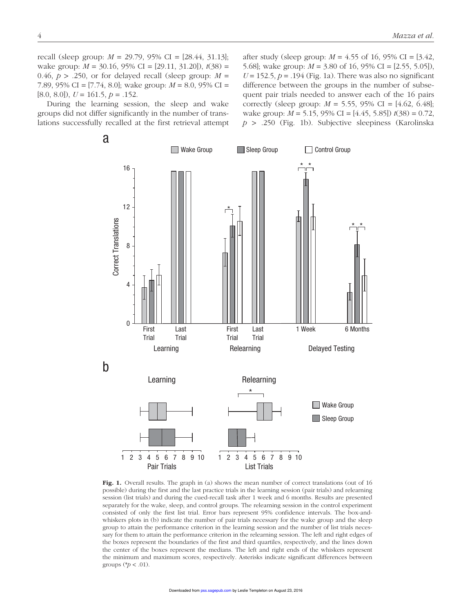recall (sleep group: *M* = 29.79, 95% CI = [28.44, 31.13]; wake group: *M* = 30.16, 95% CI = [29.11, 31.20]), *t*(38) = 0.46,  $p > 0.250$ , or for delayed recall (sleep group:  $M =$ 7.89, 95% CI = [7.74, 8.0]; wake group: *M* = 8.0, 95% CI =  $[8.0, 8.0]$ ,  $U = 161.5$ ,  $p = .152$ .

During the learning session, the sleep and wake groups did not differ significantly in the number of translations successfully recalled at the first retrieval attempt after study (sleep group:  $M = 4.55$  of 16, 95% CI = [3.42, 5.68]; wake group: *M* = 3.80 of 16, 95% CI = [2.55, 5.05]),  $U = 152.5$ ,  $p = .194$  (Fig. 1a). There was also no significant difference between the groups in the number of subsequent pair trials needed to answer each of the 16 pairs correctly (sleep group:  $M = 5.55$ , 95% CI = [4.62, 6.48]; wake group: *M* = 5.15, 95% CI = [4.45, 5.85]) *t*(38) = 0.72, *p* > .250 (Fig. 1b). Subjective sleepiness (Karolinska



Fig. 1. Overall results. The graph in (a) shows the mean number of correct translations (out of 16 possible) during the first and the last practice trials in the learning session (pair trials) and relearning session (list trials) and during the cued-recall task after 1 week and 6 months. Results are presented separately for the wake, sleep, and control groups. The relearning session in the control experiment consisted of only the first list trial. Error bars represent 95% confidence intervals. The box-andwhiskers plots in (b) indicate the number of pair trials necessary for the wake group and the sleep group to attain the performance criterion in the learning session and the number of list trials necessary for them to attain the performance criterion in the relearning session. The left and right edges of the boxes represent the boundaries of the first and third quartiles, respectively, and the lines down the center of the boxes represent the medians. The left and right ends of the whiskers represent the minimum and maximum scores, respectively. Asterisks indicate significant differences between groups (\**p* < .01).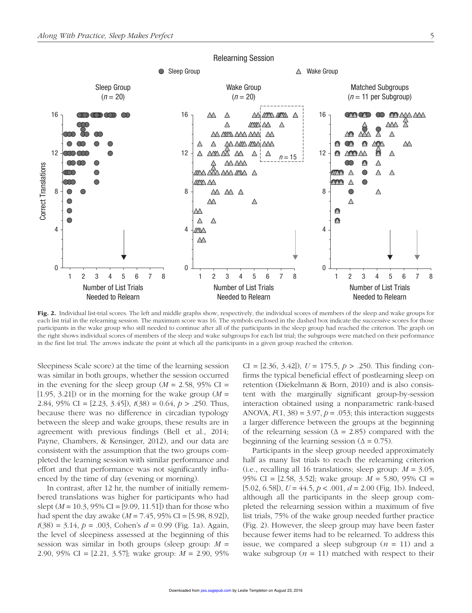

Fig. 2. Individual list-trial scores. The left and middle graphs show, respectively, the individual scores of members of the sleep and wake groups for each list trial in the relearning session. The maximum score was 16. The symbols enclosed in the dashed box indicate the successive scores for those participants in the wake group who still needed to continue after all of the participants in the sleep group had reached the criterion. The graph on the right shows individual scores of members of the sleep and wake subgroups for each list trial; the subgroups were matched on their performance in the first list trial. The arrows indicate the point at which all the participants in a given group reached the criterion.

Sleepiness Scale score) at the time of the learning session was similar in both groups, whether the session occurred in the evening for the sleep group  $(M = 2.58, 95\% \text{ CI} =$  $[1.95, 3.21]$  or in the morning for the wake group  $(M =$ 2.84, 95% CI = [2.23, 3.45]), *t*(38) = 0.64, *p* > .250. Thus, because there was no difference in circadian typology between the sleep and wake groups, these results are in agreement with previous findings (Bell et al., 2014; Payne, Chambers, & Kensinger, 2012), and our data are consistent with the assumption that the two groups completed the learning session with similar performance and effort and that performance was not significantly influenced by the time of day (evening or morning).

In contrast, after 12 hr, the number of initially remembered translations was higher for participants who had slept (*M* = 10.3, 95% CI = [9.09, 11.51]) than for those who had spent the day awake (*M* = 7.45, 95% CI = [5.98, 8.92]), *t*(38) = 3.14, *p* = .003, Cohen's *d* = 0.99 (Fig. 1a). Again, the level of sleepiness assessed at the beginning of this session was similar in both groups (sleep group: *M* = 2.90, 95% CI = [2.21, 3.57]; wake group: *M* = 2.90, 95% CI = [2.36, 3.42]), *U* = 175.5, *p* > .250. This finding confirms the typical beneficial effect of postlearning sleep on retention (Diekelmann & Born, 2010) and is also consistent with the marginally significant group-by-session interaction obtained using a nonparametric rank-based ANOVA,  $F(1, 38) = 3.97$ ,  $p = .053$ ; this interaction suggests a larger difference between the groups at the beginning of the relearning session ( $\Delta = 2.85$ ) compared with the beginning of the learning session ( $\Delta = 0.75$ ).

Participants in the sleep group needed approximately half as many list trials to reach the relearning criterion (i.e., recalling all 16 translations; sleep group: *M* = 3.05, 95% CI = [2.58, 3.52]; wake group: *M* = 5.80, 95% CI = [5.02, 6.58]), *U* = 44.5, *p* < .001, *d* = 2.00 (Fig. 1b). Indeed, although all the participants in the sleep group completed the relearning session within a maximum of five list trials, 75% of the wake group needed further practice (Fig. 2). However, the sleep group may have been faster because fewer items had to be relearned. To address this issue, we compared a sleep subgroup  $(n = 11)$  and a wake subgroup  $(n = 11)$  matched with respect to their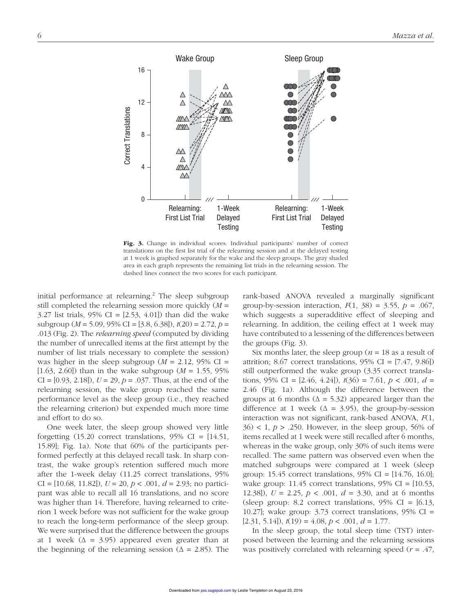

Fig. 3. Change in individual scores. Individual participants' number of correct translations on the first list trial of the relearning session and at the delayed testing at 1 week is graphed separately for the wake and the sleep groups. The gray shaded area in each graph represents the remaining list trials in the relearning session. The dashed lines connect the two scores for each participant.

initial performance at relearning.<sup>2</sup> The sleep subgroup still completed the relearning session more quickly (*M* = 3.27 list trials,  $95\%$  CI = [2.53, 4.01]) than did the wake subgroup (*M* = 5.09, 95% CI = [3.8, 6.38]), *t*(20) = 2.72, *p* = .013 (Fig. 2). The *relearning speed* (computed by dividing the number of unrecalled items at the first attempt by the number of list trials necessary to complete the session) was higher in the sleep subgroup ( $M = 2.12$ , 95% CI = [1.63, 2.60]) than in the wake subgroup ( $M = 1.55$ , 95% CI = [0.93, 2.18]), *U* = 29, *p* = .037. Thus, at the end of the relearning session, the wake group reached the same performance level as the sleep group (i.e., they reached the relearning criterion) but expended much more time and effort to do so.

One week later, the sleep group showed very little forgetting  $(15.20 \text{ correct translations}, 95\% \text{ CI} = [14.51,$ 15.89]; Fig. 1a). Note that 60% of the participants performed perfectly at this delayed recall task. In sharp contrast, the wake group's retention suffered much more after the 1-week delay (11.25 correct translations, 95% CI = [10.68, 11.82]), *U* = 20, *p* < .001, *d* = 2.93; no participant was able to recall all 16 translations, and no score was higher than 14. Therefore, having relearned to criterion 1 week before was not sufficient for the wake group to reach the long-term performance of the sleep group. We were surprised that the difference between the groups at 1 week ( $\Delta = 3.95$ ) appeared even greater than at the beginning of the relearning session ( $\Delta = 2.85$ ). The rank-based ANOVA revealed a marginally significant group-by-session interaction,  $F(1, 38) = 3.55$ ,  $p = .067$ , which suggests a superadditive effect of sleeping and relearning. In addition, the ceiling effect at 1 week may have contributed to a lessening of the differences between the groups (Fig. 3).

Six months later, the sleep group ( $n = 18$  as a result of attrition; 8.67 correct translations,  $95\%$  CI = [7.47, 9.86]) still outperformed the wake group (3.35 correct translations, 95% CI = [2.46, 4.24]), *t*(36) = 7.61, *p* < .001, *d* = 2.46 (Fig. 1a). Although the difference between the groups at 6 months ( $\Delta$  = 5.32) appeared larger than the difference at 1 week ( $\Delta = 3.95$ ), the group-by-session interaction was not significant, rank-based ANOVA, *F*(1,  $36$  < 1,  $p > .250$ . However, in the sleep group, 56% of items recalled at 1 week were still recalled after 6 months, whereas in the wake group, only 30% of such items were recalled. The same pattern was observed even when the matched subgroups were compared at 1 week (sleep group: 15.45 correct translations,  $95\%$  CI = [14.76, 16.0]; wake group: 11.45 correct translations,  $95\%$  CI = [10.53, 12.38]), *U* = 2.25, *p* < .001, *d* = 3.30, and at 6 months (sleep group: 8.2 correct translations,  $95\%$  CI = [6.13, 10.27]; wake group:  $3.73$  correct translations,  $95\%$  CI =  $[2.31, 5.14]$ ,  $t(19) = 4.08$ ,  $p < .001$ ,  $d = 1.77$ .

In the sleep group, the total sleep time (TST) interposed between the learning and the relearning sessions was positively correlated with relearning speed (*r* = .47,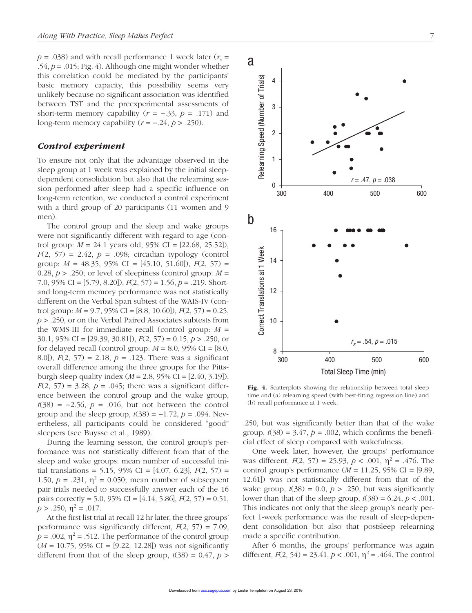$p = .038$ ) and with recall performance 1 week later ( $r_s =$ .54,  $p = .015$ ; Fig. 4). Although one might wonder whether this correlation could be mediated by the participants' basic memory capacity, this possibility seems very unlikely because no significant association was identified between TST and the preexperimental assessments of short-term memory capability  $(r = -.33, p = .171)$  and long-term memory capability (*r* = −.24, *p* > .250).

# Control experiment

To ensure not only that the advantage observed in the sleep group at 1 week was explained by the initial sleepdependent consolidation but also that the relearning session performed after sleep had a specific influence on long-term retention, we conducted a control experiment with a third group of 20 participants (11 women and 9 men).

The control group and the sleep and wake groups were not significantly different with regard to age (control group:  $M = 24.1$  years old, 95% CI = [22.68, 25.52]),  $F(2, 57) = 2.42$ ,  $p = .098$ ; circadian typology (control group: *M* = 48.35, 95% CI = [45.10, 51.60]), *F*(2, 57) = 0.28,  $p > 0.250$ ; or level of sleepiness (control group:  $M =$ 7.0, 95% CI = [5.79, 8.20]), *F*(2, 57) = 1.56, *p* = .219. Shortand long-term memory performance was not statistically different on the Verbal Span subtest of the WAIS-IV (control group: *M* = 9.7, 95% CI = [8.8, 10.60]), *F*(2, 57) = 0.25, *p* > .250, or on the Verbal Paired Associates subtests from the WMS-III for immediate recall (control group:  $M =$ 30.1, 95% CI = [29.39, 30.81]), *F*(2, 57) = 0.15, *p* > .250, or for delayed recall (control group:  $M = 8.0$ , 95% CI = [8.0, 8.0]), *F*(2, 57) = 2.18, *p* = .123. There was a significant overall difference among the three groups for the Pittsburgh sleep quality index (*M* = 2.8, 95% CI = [2.40, 3.19]),  $F(2, 57) = 3.28$ ,  $p = .045$ ; there was a significant difference between the control group and the wake group, *t*(38) =  $-2.56$ , *p* = .016, but not between the control group and the sleep group,  $t(38) = -1.72$ ,  $p = .094$ . Nevertheless, all participants could be considered "good" sleepers (see Buysse et al., 1989).

During the learning session, the control group's performance was not statistically different from that of the sleep and wake groups: mean number of successful initial translations = 5.15, 95% CI =  $[4.07, 6.23]$ ,  $F(2, 57)$  = 1.50,  $p = .231$ ,  $\eta^2 = 0.050$ ; mean number of subsequent pair trials needed to successfully answer each of the 16 pairs correctly = 5.0, 95% CI = [4.14, 5.86], *F*(2, 57) = 0.51,  $p > .250, \, \eta^2 = .017.$ 

At the first list trial at recall 12 hr later, the three groups' performance was significantly different, *F*(2, 57) = 7.09,  $p = .002$ ,  $\eta^2 = .512$ . The performance of the control group (*M =* 10.75, 95% CI = [9.22, 12.28]) was not significantly different from that of the sleep group,  $t(38) = 0.47$ ,  $p >$ 



Fig. 4. Scatterplots showing the relationship between total sleep time and (a) relearning speed (with best-fitting regression line) and (b) recall performance at 1 week.

.250, but was significantly better than that of the wake group,  $t(38) = 3.47$ ,  $p = .002$ , which confirms the beneficial effect of sleep compared with wakefulness.

One week later, however, the groups' performance was different,  $F(2, 57) = 25.93$ ,  $p < .001$ ,  $\eta^2 = .476$ . The control group's performance (*M =* 11.25, 95% CI = [9.89, 12.61]) was not statistically different from that of the wake group,  $t(38) = 0.0$ ,  $p > .250$ , but was significantly lower than that of the sleep group,  $t(38) = 6.24$ ,  $p < .001$ . This indicates not only that the sleep group's nearly perfect 1-week performance was the result of sleep-dependent consolidation but also that postsleep relearning made a specific contribution.

After 6 months, the groups' performance was again different,  $F(2, 54) = 23.41$ ,  $p < .001$ ,  $\eta^2 = .464$ . The control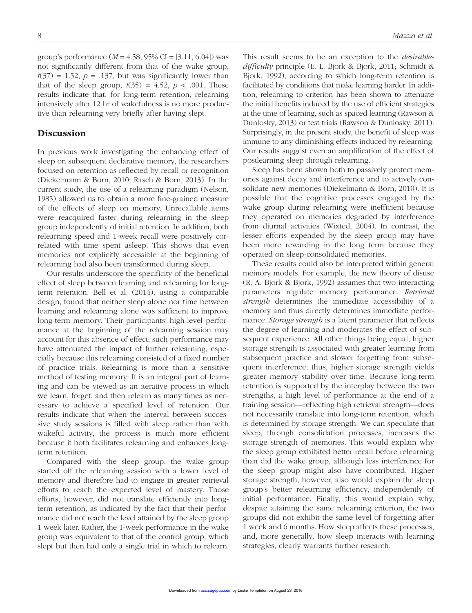group's performance (*M =* 4.58, 95% CI = [3.11, 6.04]) was not significantly different from that of the wake group,  $t(37) = 1.52$ ,  $p = .137$ , but was significantly lower than that of the sleep group,  $t(35) = 4.52$ ,  $p < .001$ . These results indicate that, for long-term retention, relearning intensively after 12 hr of wakefulness is no more productive than relearning very briefly after having slept.

# **Discussion**

In previous work investigating the enhancing effect of sleep on subsequent declarative memory, the researchers focused on retention as reflected by recall or recognition (Diekelmann & Born, 2010; Rasch & Born, 2013). In the current study, the use of a relearning paradigm (Nelson, 1985) allowed us to obtain a more fine-grained measure of the effects of sleep on memory. Unrecallable items were reacquired faster during relearning in the sleep group independently of initial retention. In addition, both relearning speed and 1-week recall were positively correlated with time spent asleep. This shows that even memories not explicitly accessible at the beginning of relearning had also been transformed during sleep.

Our results underscore the specificity of the beneficial effect of sleep between learning and relearning for longterm retention. Bell et al. (2014), using a comparable design, found that neither sleep alone nor time between learning and relearning alone was sufficient to improve long-term memory. Their participants' high-level performance at the beginning of the relearning session may account for this absence of effect; such performance may have attenuated the impact of further relearning, especially because this relearning consisted of a fixed number of practice trials. Relearning is more than a sensitive method of testing memory: It is an integral part of learning and can be viewed as an iterative process in which we learn, forget, and then relearn as many times as necessary to achieve a specified level of retention. Our results indicate that when the interval between successive study sessions is filled with sleep rather than with wakeful activity, the process is much more efficient because it both facilitates relearning and enhances longterm retention.

Compared with the sleep group, the wake group started off the relearning session with a lower level of memory and therefore had to engage in greater retrieval efforts to reach the expected level of mastery. Those efforts, however, did not translate efficiently into longterm retention, as indicated by the fact that their performance did not reach the level attained by the sleep group 1 week later. Rather, the 1-week performance in the wake group was equivalent to that of the control group, which slept but then had only a single trial in which to relearn.

This result seems to be an exception to the *desirabledifficulty* principle (E. L. Bjork & Bjork, 2011; Schmidt & Bjork, 1992), according to which long-term retention is facilitated by conditions that make learning harder. In addition, relearning to criterion has been shown to attenuate the initial benefits induced by the use of efficient strategies at the time of learning, such as spaced learning (Rawson & Dunlosky, 2013) or test trials (Rawson & Dunlosky, 2011). Surprisingly, in the present study, the benefit of sleep was immune to any diminishing effects induced by relearning: Our results suggest even an amplification of the effect of postlearning sleep through relearning.

Sleep has been shown both to passively protect memories against decay and interference and to actively consolidate new memories (Diekelmann & Born, 2010). It is possible that the cognitive processes engaged by the wake group during relearning were inefficient because they operated on memories degraded by interference from diurnal activities (Wixted, 2004). In contrast, the lesser efforts expended by the sleep group may have been more rewarding in the long term because they operated on sleep-consolidated memories.

These results could also be interpreted within general memory models. For example, the new theory of disuse (R. A. Bjork & Bjork, 1992) assumes that two interacting parameters regulate memory performance. *Retrieval strength* determines the immediate accessibility of a memory and thus directly determines immediate performance. *Storage strength* is a latent parameter that reflects the degree of learning and moderates the effect of subsequent experience. All other things being equal, higher storage strength is associated with greater learning from subsequent practice and slower forgetting from subsequent interference; thus, higher storage strength yields greater memory stability over time. Because long-term retention is supported by the interplay between the two strengths, a high level of performance at the end of a training session—reflecting high retrieval strength—does not necessarily translate into long-term retention, which is determined by storage strength. We can speculate that sleep, through consolidation processes, increases the storage strength of memories. This would explain why the sleep group exhibited better recall before relearning than did the wake group, although less interference for the sleep group might also have contributed. Higher storage strength, however, also would explain the sleep group's better relearning efficiency, independently of initial performance. Finally, this would explain why, despite attaining the same relearning criterion, the two groups did not exhibit the same level of forgetting after 1 week and 6 months. How sleep affects these processes, and, more generally, how sleep interacts with learning strategies, clearly warrants further research.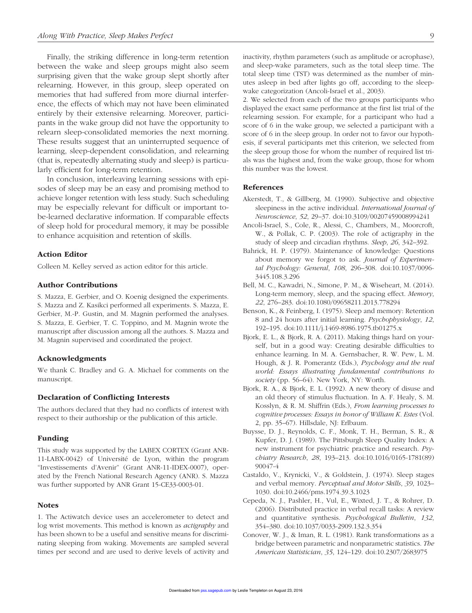Finally, the striking difference in long-term retention between the wake and sleep groups might also seem surprising given that the wake group slept shortly after relearning. However, in this group, sleep operated on memories that had suffered from more diurnal interference, the effects of which may not have been eliminated entirely by their extensive relearning. Moreover, participants in the wake group did not have the opportunity to relearn sleep-consolidated memories the next morning. These results suggest that an uninterrupted sequence of learning, sleep-dependent consolidation, and relearning (that is, repeatedly alternating study and sleep) is particularly efficient for long-term retention.

In conclusion, interleaving learning sessions with episodes of sleep may be an easy and promising method to achieve longer retention with less study. Such scheduling may be especially relevant for difficult or important tobe-learned declarative information. If comparable effects of sleep hold for procedural memory, it may be possible to enhance acquisition and retention of skills.

#### Action Editor

Colleen M. Kelley served as action editor for this article.

# Author Contributions

S. Mazza, E. Gerbier, and O. Koenig designed the experiments. S. Mazza and Z. Kasikci performed all experiments. S. Mazza, E. Gerbier, M.-P. Gustin, and M. Magnin performed the analyses. S. Mazza, E. Gerbier, T. C. Toppino, and M. Magnin wrote the manuscript after discussion among all the authors. S. Mazza and M. Magnin supervised and coordinated the project.

#### Acknowledgments

We thank C. Bradley and G. A. Michael for comments on the manuscript.

#### Declaration of Conflicting Interests

The authors declared that they had no conflicts of interest with respect to their authorship or the publication of this article.

#### Funding

This study was supported by the LABEX CORTEX (Grant ANR-11-LABX-0042) of Université de Lyon, within the program "Investissements d'Avenir" (Grant ANR-11-IDEX-0007), operated by the French National Research Agency (ANR). S. Mazza was further supported by ANR Grant 15-CE33-0003-01.

#### **Notes**

1. The Actiwatch device uses an accelerometer to detect and log wrist movements. This method is known as *actigraphy* and has been shown to be a useful and sensitive means for discriminating sleeping from waking. Movements are sampled several times per second and are used to derive levels of activity and inactivity, rhythm parameters (such as amplitude or acrophase), and sleep-wake parameters, such as the total sleep time. The total sleep time (TST) was determined as the number of minutes asleep in bed after lights go off, according to the sleepwake categorization (Ancoli-Israel et al., 2003).

2. We selected from each of the two groups participants who displayed the exact same performance at the first list trial of the relearning session. For example, for a participant who had a score of 6 in the wake group, we selected a participant with a score of 6 in the sleep group. In order not to favor our hypothesis, if several participants met this criterion, we selected from the sleep group those for whom the number of required list trials was the highest and, from the wake group, those for whom this number was the lowest.

#### References

- Akerstedt, T., & Gillberg, M. (1990). Subjective and objective sleepiness in the active individual. *International Journal of Neuroscience*, *52*, 29–37. doi:10.3109/00207459008994241
- Ancoli-Israel, S., Cole, R., Alessi, C., Chambers, M., Moorcroft, W., & Pollak, C. P. (2003). The role of actigraphy in the study of sleep and circadian rhythms. *Sleep*, *26*, 342–392.
- Bahrick, H. P. (1979). Maintenance of knowledge: Questions about memory we forgot to ask. *Journal of Experimental Psychology: General*, *108*, 296–308. doi:10.1037/0096- 3445.108.3.296
- Bell, M. C., Kawadri, N., Simone, P. M., & Wiseheart, M. (2014). Long-term memory, sleep, and the spacing effect. *Memory*, *22*, 276–283. doi:10.1080/09658211.2013.778294
- Benson, K., & Feinberg, I. (1975). Sleep and memory: Retention 8 and 24 hours after initial learning. *Psychophysiology*, *12*, 192–195. doi:10.1111/j.1469-8986.1975.tb01275.x
- Bjork, E. L., & Bjork, R. A. (2011). Making things hard on yourself, but in a good way: Creating desirable difficulties to enhance learning. In M. A. Gernsbacher, R. W. Pew, L. M. Hough, & J. R. Pomerantz (Eds.), *Psychology and the real world: Essays illustrating fundamental contributions to society* (pp. 56–64). New York, NY: Worth.
- Bjork, R. A., & Bjork, E. L. (1992). A new theory of disuse and an old theory of stimulus fluctuation. In A. F. Healy, S. M. Kosslyn, & R. M. Shiffrin (Eds.), *From learning processes to cognitive processes: Essays in honor of William K. Estes* (Vol. 2, pp. 35–67). Hillsdale, NJ: Erlbaum.
- Buysse, D. J., Reynolds, C. F., Monk, T. H., Berman, S. R., & Kupfer, D. J. (1989). The Pittsburgh Sleep Quality Index: A new instrument for psychiatric practice and research. *Psychiatry Research*, *28*, 193–213. doi:10.1016/0165-1781(89) 90047-4
- Castaldo, V., Krynicki, V., & Goldstein, J. (1974). Sleep stages and verbal memory. *Perceptual and Motor Skills*, *39*, 1023– 1030. doi:10.2466/pms.1974.39.3.1023
- Cepeda, N. J., Pashler, H., Vul, E., Wixted, J. T., & Rohrer, D. (2006). Distributed practice in verbal recall tasks: A review and quantitative synthesis. *Psychological Bulletin*, *132*, 354–380. doi:10.1037/0033-2909.132.3.354
- Conover, W. J., & Iman, R. L. (1981). Rank transformations as a bridge between parametric and nonparametric statistics. *The American Statistician*, *35*, 124–129. doi:10.2307/2683975